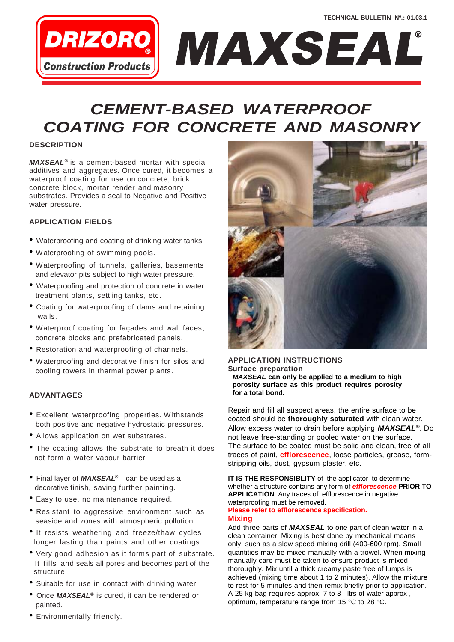

### *CEMENT-BASED WATERPROOF COATING FOR CONCRETE AND MASONRY*

#### **DESCRIPTION**

*MAXSEAL ®* is a cement-based mortar with special additives and aggregates. Once cured, it becomes a waterproof coating for use on concrete, brick, concrete block, mortar render and masonry substrates. Provides a seal to Negative and Positive water pressure.

#### **APPLICATION FIELDS**

- Waterproofing and coating of drinking water tanks.
- Waterproofing of swimming pools.
- Waterproofing of tunnels, galleries, basements and elevator pits subject to high water pressure.
- Waterproofing and protection of concrete in water treatment plants, settling tanks, etc.
- Coating for waterproofing of dams and retaining walls.
- Waterproof coating for façades and wall faces, concrete blocks and prefabricated panels.
- Restoration and waterproofing of channels.
- Waterproofing and decorative finish for silos and cooling towers in thermal power plants.

#### **ADVANTAGES**

- Excellent waterproofing properties. <sup>W</sup> ithstands both positive and negative hydrostatic pressures.
- Allows application on wet substrates.
- The coating allows the substrate to breath it does not form a water vapour barrier.
- Final layer of *MAXSEAL ®* can be used as a decorative finish, saving further painting.
- Easy to use, no maintenance required.
- Resistant to aggressive environment such as seaside and zones with atmospheric pollution.
- It resists weathering and freeze/thaw cycles longer lasting than paints and other coatings.
- Very good adhesion as it forms part of substrate. It fills and seals all pores and becomes part of the structure.
- Suitable for use in contact with drinking water.
- Once *MAXSEAL ®* is cured, it can be rendered or painted.



#### **APPLICATION INSTRUCTIONS Surface preparation** *MAXSEAL* **can only be applied to a medium to high porosity surface as this product requires porosity for a total bond.**

Repair and fill all suspect areas, the entire surface to be coated should be **thoroughly saturated** with clean water. Allow excess water to drain before applying *MAXSEAL®* . Do not leave free-standing or pooled water on the surface. The surface to be coated must be solid and clean, free of all traces of paint, **efflorescence**, loose particles, grease, formstripping oils, dust, gypsum plaster, etc.

**IT IS THE RESPONSIBLITY** of the applicator to determine whether a structure contains any form of *efflorescence* **PRIOR TO APPLICATION**. Any traces of efflorescence in negative waterproofing must be removed.

#### **Please refer to efflorescence specification. Mixing**

Add three parts of *MAXSEAL* to one part of clean water in a clean container. Mixing is best done by mechanical means only, such as a slow speed mixing drill (400-600 rpm). Small quantities may be mixed manually with a trowel. When mixing manually care must be taken to ensure product is mixed thoroughly. Mix until a thick creamy paste free of lumps is achieved (mixing time about 1 to 2 minutes). Allow the mixture to rest for 5 minutes and then remix briefly prior to application. A 25 kg bag requires approx. 7 to 8 ltrs of water approx , optimum, temperature range from 15 °C to 28 °C.

• Environmentally friendly.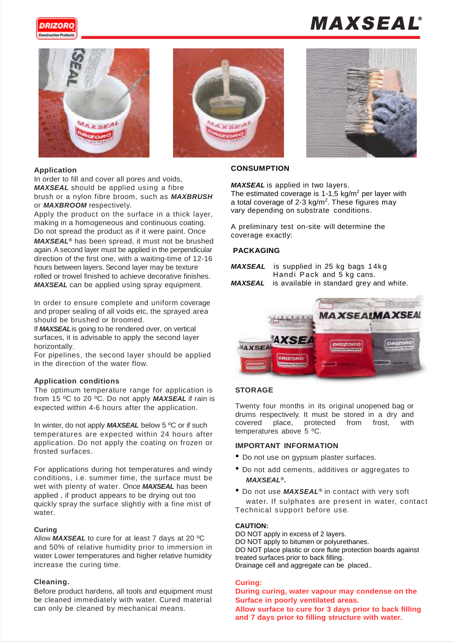

# MAXSEAL®







#### **Application**

In order to fill and cover all pores and voids, *MAXSEAL* should be applied using a fibre brush or a nylon fibre broom, such as *MAXBRUSH*  or *MAXBROOM* respectively.

Apply the product on the surface in a thick layer, making in a homogeneous and continuous coating. Do not spread the product as if it were paint. Once *MAXSEAL ®* has been spread, it must not be brushed again.A second layer must be applied in the perpendicular direction of the first one, with a waiting-time of 12-16 hours between layers. Second layer may be texture rolled or trowel finished to achieve decorative finishes. *MAXSEAL* can be applied using spray equipment.

In order to ensure complete and uniform coverage and proper sealing of all voids etc, the sprayed area should be brushed or broomed.

If *MAXSEAL*is going to be rendered over, on vertical surfaces, it is advisable to apply the second layer horizontally.

For pipelines, the second layer should be applied in the direction of the water flow.

#### **Application conditions**

The optimum temperature range for application is from 15 ºC to 20 ºC. Do not apply *MAXSEAL* if rain is expected within 4-6 hours after the application.

In winter, do not apply *MAXSEAL* below 5 ºC or if such temperatures are expected within 24 hours after application. Do not apply the coating on frozen or frosted surfaces.

For applications during hot temperatures and windy conditions, i.e. summer time, the surface must be wet with plenty of water. Once *MAXSEAL* has been applied , if product appears to be drying out too quickly spray the surface slightly with a fine mist of water.

#### **Curing**

Allow *MAXSEAL* to cure for at least 7 days at 20 ºC and 50% of relative humidity prior to immersion in water Lower temperatures and higher relative humidity increase the curing time.

#### **Cleaning.**

Before product hardens, all tools and equipment must be cleaned immediately with water. Cured material can only be cleaned by mechanical means.

#### **CONSUMPTION**

*MAXSEAL* is applied in two layers.

The estimated coverage is  $1-1$ , 5 kg/m<sup>2</sup> per layer with a total coverage of 2-3 kg/m<sup>2</sup>. These figures may vary depending on substrate conditions.

A preliminary test on-site will determine the coverage exactly:

#### **PACKAGING**

*MAXSEAL* is supplied in 25 kg bags 14kg Handi Pack and 5 kg cans. *MAXSEAL* is available in standard grey and white.



#### **STORAGE**

Twenty four months in its original unopened bag or drums respectively. It must be stored in a dry and covered place, protected from frost, with temperatures above 5 ºC.

#### **IMPORTANT INFORMATION**

- Do not use on gypsum plaster surfaces.
- Do not add cements, additives or aggregates to *MAXSEAL®.*
- Do not use *MAXSEAL ®* in contact with very soft water. If sulphates are present in water, contact Technical support before use.

#### **CAUTION:**

DO NOT apply in excess of 2 layers. DO NOT apply to bitumen or polyurethanes. DO NOT place plastic or core flute protection boards against treated surfaces prior to back filling. Drainage cell and aggregate can be placed..

#### **Curing:**

**During curing, water vapour may condense on the Surface in poorly ventilated areas. Allow surface to cure for 3 days prior to back filling and 7 days prior to filling structure with water.**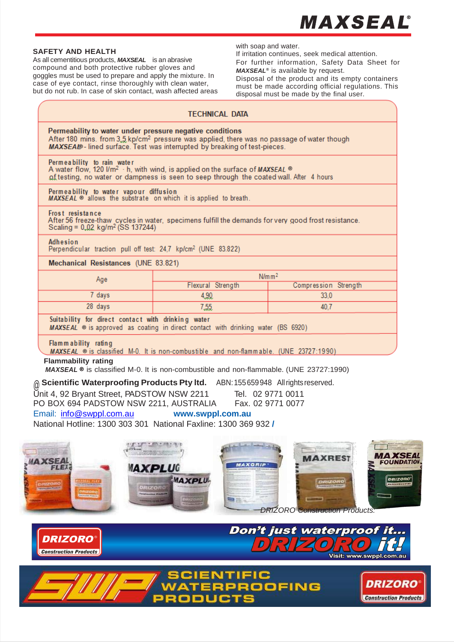## **MAXSEAL**®

#### **SAFETY AND HEALTH**

As all cementitious products, *MAXSEAL* is an abrasive compound and both protective rubber gloves and goggles must be used to prepare and apply the mixture. In case of eye contact, rinse thoroughly with clean water, but do not rub. In case of skin contact, wash affected areas with soap and water.

If irritation continues, seek medical attention. For further information, Safety Data Sheet for *MAXSEAL ®* is available by request.

Disposal of the product and its empty containers must be made according official regulations. This disposal must be made by the final user.

| <b>TECHNICAL DATA</b>                                                                                                                                                                                                                          |                    |                      |  |  |
|------------------------------------------------------------------------------------------------------------------------------------------------------------------------------------------------------------------------------------------------|--------------------|----------------------|--|--|
| Permeability to water under pressure negative conditions<br>After 180 mins. from $3.5 \text{ kp/cm}^2$ pressure was applied, there was no passage of water though<br>MAXSEAL - lined surface. Test was interrupted by breaking of test-pieces. |                    |                      |  |  |
| Permeability to rain water<br>A water flow, 120 $1/m^2$ · h, with wind, is applied on the surface of MAXSEAL ®<br>of testing, no water or dampness is seen to seep through the coated wall. After 4 hours                                      |                    |                      |  |  |
| Permeability to water vapour diffusion<br>MAXSEAL ® allows the substrate on which it is applied to breath.                                                                                                                                     |                    |                      |  |  |
| Frost resistance<br>After 56 freeze-thaw cycles in water, specimens fulfill the demands for very good frost resistance.<br>Scaling = $0,02$ kg/m <sup>2</sup> (SS 137244)                                                                      |                    |                      |  |  |
| Adhesion<br>Perpendicular traction pull off test: 24,7 kp/cm <sup>2</sup> (UNE 83.822)                                                                                                                                                         |                    |                      |  |  |
| Mechanical Resistances (UNE 83.821)                                                                                                                                                                                                            |                    |                      |  |  |
| Age                                                                                                                                                                                                                                            | N/m m <sup>2</sup> |                      |  |  |
|                                                                                                                                                                                                                                                | Flexural Strength  | Compression Strength |  |  |
| 7 days                                                                                                                                                                                                                                         | 4,90               | 33,0                 |  |  |
| 28 days                                                                                                                                                                                                                                        | 7,55               | 40.7                 |  |  |
| Suitability for direct contact with drinking water<br>MAXSEAL ® is approved as coating in direct contact with drinking water (BS 6920)                                                                                                         |                    |                      |  |  |
| Flammability rating<br>MAXSEAL ® is classified M-0. It is non-combustible and non-flammable. (UNE 23727:1990)                                                                                                                                  |                    |                      |  |  |
| <b>Flammability rating</b><br>MAXSEAL ® is classified M-0. It is non-combustible and non-flammable. (UNE 23727:1990)                                                                                                                           |                    |                      |  |  |
| @ Scientific Waterproofing Products Pty Itd. ABN: 155659948 Allrights reserved.<br>Unit 4, 92 Bryant Street, PADSTOW NSW 2211<br>Tel. 02 9771 0011<br>PO BOX 694 PADSTOW NSW 2211, AUSTRALIA<br>Fax. 02 9771 0077                              |                    |                      |  |  |

Email: [info@swppl.com.au](mailto:info@swppl.com.au) **[www.swppl.com.](http://www.scientificwaterproofingproducts.com.au/)au**

[National Hotline: 1300 303 301](http://www.scientificwaterproofingproducts.com.au/) National Faxline: 1300 369 932 **/**